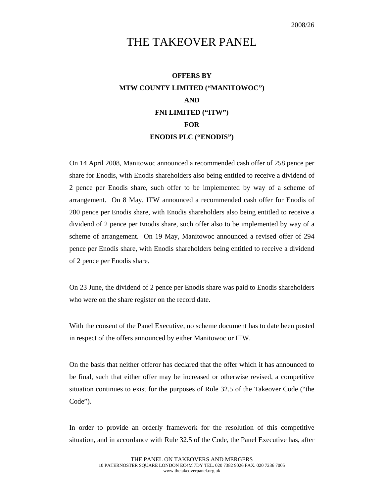## THE TAKEOVER PANEL

## **OFFERS BY MTW COUNTY LIMITED ("MANITOWOC") AND FNI LIMITED ("ITW") FOR ENODIS PLC ("ENODIS")**

On 14 April 2008, Manitowoc announced a recommended cash offer of 258 pence per share for Enodis, with Enodis shareholders also being entitled to receive a dividend of 2 pence per Enodis share, such offer to be implemented by way of a scheme of arrangement. On 8 May, ITW announced a recommended cash offer for Enodis of 280 pence per Enodis share, with Enodis shareholders also being entitled to receive a dividend of 2 pence per Enodis share, such offer also to be implemented by way of a scheme of arrangement. On 19 May, Manitowoc announced a revised offer of 294 pence per Enodis share, with Enodis shareholders being entitled to receive a dividend of 2 pence per Enodis share.

On 23 June, the dividend of 2 pence per Enodis share was paid to Enodis shareholders who were on the share register on the record date.

With the consent of the Panel Executive, no scheme document has to date been posted in respect of the offers announced by either Manitowoc or ITW.

On the basis that neither offeror has declared that the offer which it has announced to be final, such that either offer may be increased or otherwise revised, a competitive situation continues to exist for the purposes of Rule 32.5 of the Takeover Code ("the Code").

In order to provide an orderly framework for the resolution of this competitive situation, and in accordance with Rule 32.5 of the Code, the Panel Executive has, after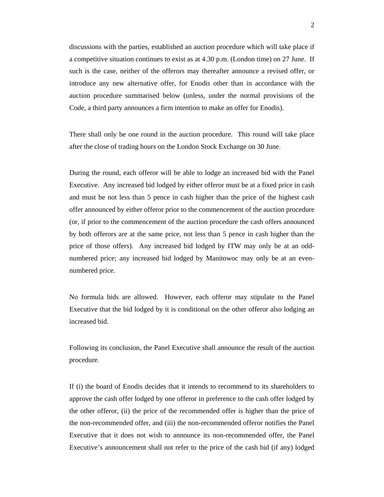discussions with the parties, established an auction procedure which will take place if a competitive situation continues to exist as at 4.30 p.m. (London time) on 27 June. If such is the case, neither of the offerors may thereafter announce a revised offer, or introduce any new alternative offer, for Enodis other than in accordance with the auction procedure summarised below (unless, under the normal provisions of the Code, a third party announces a firm intention to make an offer for Enodis).

There shall only be one round in the auction procedure. This round will take place after the close of trading hours on the London Stock Exchange on 30 June.

During the round, each offeror will be able to lodge an increased bid with the Panel Executive. Any increased bid lodged by either offeror must be at a fixed price in cash and must be not less than 5 pence in cash higher than the price of the highest cash offer announced by either offeror prior to the commencement of the auction procedure (or, if prior to the commencement of the auction procedure the cash offers announced by both offerors are at the same price, not less than 5 pence in cash higher than the price of those offers). Any increased bid lodged by ITW may only be at an oddnumbered price; any increased bid lodged by Manitowoc may only be at an evennumbered price.

No formula bids are allowed. However, each offeror may stipulate to the Panel Executive that the bid lodged by it is conditional on the other offeror also lodging an increased bid.

Following its conclusion, the Panel Executive shall announce the result of the auction procedure.

If (i) the board of Enodis decides that it intends to recommend to its shareholders to approve the cash offer lodged by one offeror in preference to the cash offer lodged by the other offeror, (ii) the price of the recommended offer is higher than the price of the non-recommended offer, and (iii) the non-recommended offeror notifies the Panel Executive that it does not wish to announce its non-recommended offer, the Panel Executive's announcement shall not refer to the price of the cash bid (if any) lodged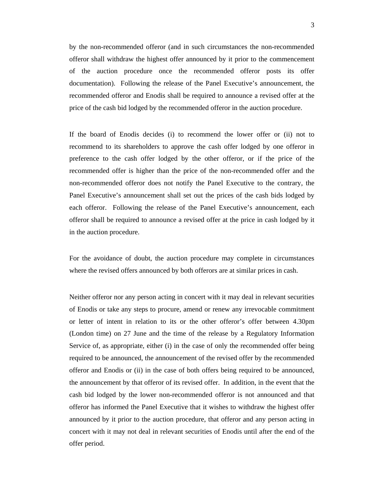by the non-recommended offeror (and in such circumstances the non-recommended offeror shall withdraw the highest offer announced by it prior to the commencement of the auction procedure once the recommended offeror posts its offer documentation). Following the release of the Panel Executive's announcement, the recommended offeror and Enodis shall be required to announce a revised offer at the price of the cash bid lodged by the recommended offeror in the auction procedure.

If the board of Enodis decides (i) to recommend the lower offer or (ii) not to recommend to its shareholders to approve the cash offer lodged by one offeror in preference to the cash offer lodged by the other offeror, or if the price of the recommended offer is higher than the price of the non-recommended offer and the non-recommended offeror does not notify the Panel Executive to the contrary, the Panel Executive's announcement shall set out the prices of the cash bids lodged by each offeror. Following the release of the Panel Executive's announcement, each offeror shall be required to announce a revised offer at the price in cash lodged by it in the auction procedure.

For the avoidance of doubt, the auction procedure may complete in circumstances where the revised offers announced by both offerors are at similar prices in cash.

Neither offeror nor any person acting in concert with it may deal in relevant securities of Enodis or take any steps to procure, amend or renew any irrevocable commitment or letter of intent in relation to its or the other offeror's offer between 4.30pm (London time) on 27 June and the time of the release by a Regulatory Information Service of, as appropriate, either (i) in the case of only the recommended offer being required to be announced, the announcement of the revised offer by the recommended offeror and Enodis or (ii) in the case of both offers being required to be announced, the announcement by that offeror of its revised offer. In addition, in the event that the cash bid lodged by the lower non-recommended offeror is not announced and that offeror has informed the Panel Executive that it wishes to withdraw the highest offer announced by it prior to the auction procedure, that offeror and any person acting in concert with it may not deal in relevant securities of Enodis until after the end of the offer period.